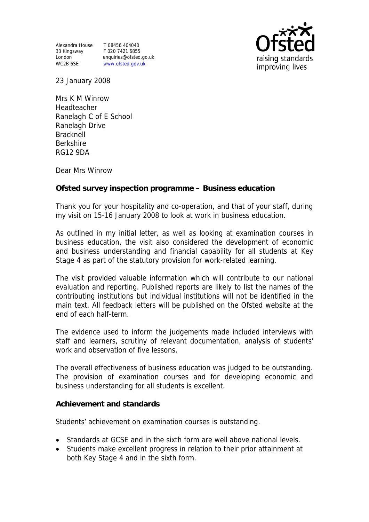Alexandra House T 08456 404040 33 Kingsway F 020 7421 6855

London enquiries@ofsted.go.uk WC2B 6SE www.ofsted.gov.uk



23 January 2008

Mrs K M Winrow Headteacher Ranelagh C of E School Ranelagh Drive Bracknell Berkshire RG12 9DA

Dear Mrs Winrow

**Ofsted survey inspection programme – Business education** 

Thank you for your hospitality and co-operation, and that of your staff, during my visit on 15-16 January 2008 to look at work in business education.

As outlined in my initial letter, as well as looking at examination courses in business education, the visit also considered the development of economic and business understanding and financial capability for all students at Key Stage 4 as part of the statutory provision for work-related learning.

The visit provided valuable information which will contribute to our national evaluation and reporting. Published reports are likely to list the names of the contributing institutions but individual institutions will not be identified in the main text. All feedback letters will be published on the Ofsted website at the end of each half-term.

The evidence used to inform the judgements made included interviews with staff and learners, scrutiny of relevant documentation, analysis of students' work and observation of five lessons.

The overall effectiveness of business education was judged to be outstanding. The provision of examination courses and for developing economic and business understanding for all students is excellent.

**Achievement and standards** 

Students' achievement on examination courses is outstanding.

- Standards at GCSE and in the sixth form are well above national levels.
- Students make excellent progress in relation to their prior attainment at both Key Stage 4 and in the sixth form.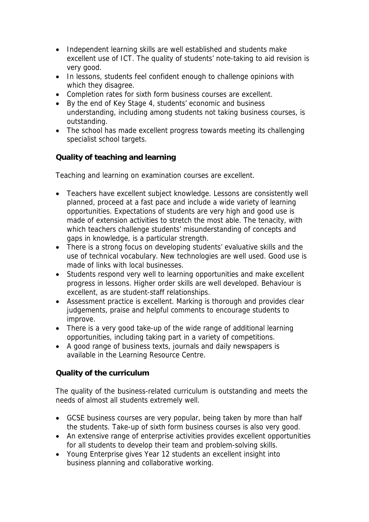- Independent learning skills are well established and students make excellent use of ICT. The quality of students' note-taking to aid revision is very good.
- In lessons, students feel confident enough to challenge opinions with which they disagree.
- Completion rates for sixth form business courses are excellent.
- By the end of Key Stage 4, students' economic and business understanding, including among students not taking business courses, is outstanding.
- The school has made excellent progress towards meeting its challenging specialist school targets.

**Quality of teaching and learning** 

Teaching and learning on examination courses are excellent.

- Teachers have excellent subject knowledge. Lessons are consistently well planned, proceed at a fast pace and include a wide variety of learning opportunities. Expectations of students are very high and good use is made of extension activities to stretch the most able. The tenacity, with which teachers challenge students' misunderstanding of concepts and gaps in knowledge, is a particular strength.
- There is a strong focus on developing students' evaluative skills and the use of technical vocabulary. New technologies are well used. Good use is made of links with local businesses.
- Students respond very well to learning opportunities and make excellent progress in lessons. Higher order skills are well developed. Behaviour is excellent, as are student-staff relationships.
- Assessment practice is excellent. Marking is thorough and provides clear judgements, praise and helpful comments to encourage students to improve.
- There is a very good take-up of the wide range of additional learning opportunities, including taking part in a variety of competitions.
- A good range of business texts, journals and daily newspapers is available in the Learning Resource Centre.

**Quality of the curriculum** 

The quality of the business-related curriculum is outstanding and meets the needs of almost all students extremely well.

- GCSE business courses are very popular, being taken by more than half the students. Take-up of sixth form business courses is also very good.
- An extensive range of enterprise activities provides excellent opportunities for all students to develop their team and problem-solving skills.
- Young Enterprise gives Year 12 students an excellent insight into business planning and collaborative working.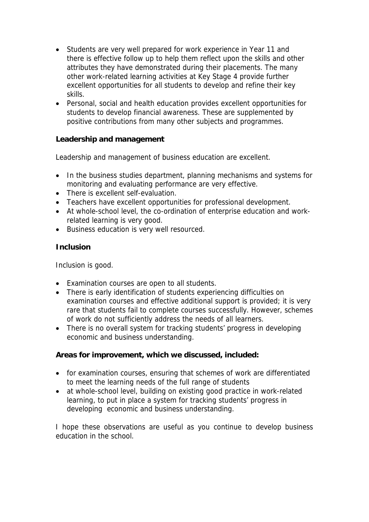- Students are very well prepared for work experience in Year 11 and there is effective follow up to help them reflect upon the skills and other attributes they have demonstrated during their placements. The many other work-related learning activities at Key Stage 4 provide further excellent opportunities for all students to develop and refine their key skills.
- Personal, social and health education provides excellent opportunities for students to develop financial awareness. These are supplemented by positive contributions from many other subjects and programmes.

**Leadership and management** 

Leadership and management of business education are excellent.

- In the business studies department, planning mechanisms and systems for monitoring and evaluating performance are very effective.
- There is excellent self-evaluation.
- Teachers have excellent opportunities for professional development.
- At whole-school level, the co-ordination of enterprise education and workrelated learning is very good.
- Business education is very well resourced.

## **Inclusion**

Inclusion is good.

- Examination courses are open to all students.
- There is early identification of students experiencing difficulties on examination courses and effective additional support is provided; it is very rare that students fail to complete courses successfully. However, schemes of work do not sufficiently address the needs of all learners.
- There is no overall system for tracking students' progress in developing economic and business understanding.

**Areas for improvement, which we discussed, included:**

- for examination courses, ensuring that schemes of work are differentiated to meet the learning needs of the full range of students
- at whole-school level, building on existing good practice in work-related learning, to put in place a system for tracking students' progress in developing economic and business understanding.

I hope these observations are useful as you continue to develop business education in the school.